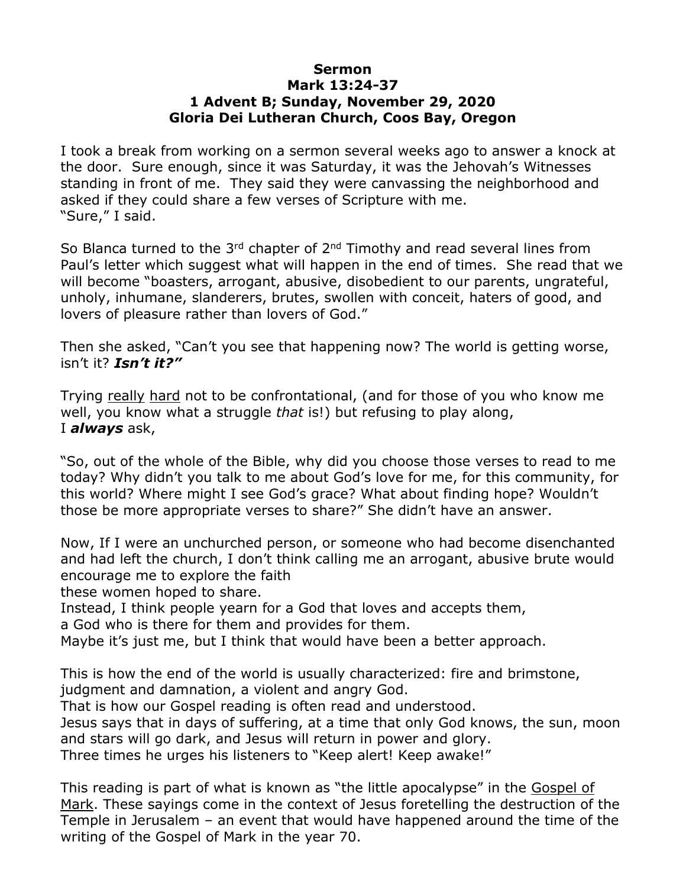## **Sermon Mark 13:24-37 1 Advent B; Sunday, November 29, 2020 Gloria Dei Lutheran Church, Coos Bay, Oregon**

I took a break from working on a sermon several weeks ago to answer a knock at the door. Sure enough, since it was Saturday, it was the Jehovah's Witnesses standing in front of me. They said they were canvassing the neighborhood and asked if they could share a few verses of Scripture with me. "Sure," I said.

So Blanca turned to the 3<sup>rd</sup> chapter of 2<sup>nd</sup> Timothy and read several lines from Paul's letter which suggest what will happen in the end of times. She read that we will become "boasters, arrogant, abusive, disobedient to our parents, ungrateful, unholy, inhumane, slanderers, brutes, swollen with conceit, haters of good, and lovers of pleasure rather than lovers of God."

Then she asked, "Can't you see that happening now? The world is getting worse, isn't it? *Isn't it?"*

Trying really hard not to be confrontational, (and for those of you who know me well, you know what a struggle *that* is!) but refusing to play along, I *always* ask,

"So, out of the whole of the Bible, why did you choose those verses to read to me today? Why didn't you talk to me about God's love for me, for this community, for this world? Where might I see God's grace? What about finding hope? Wouldn't those be more appropriate verses to share?" She didn't have an answer.

Now, If I were an unchurched person, or someone who had become disenchanted and had left the church, I don't think calling me an arrogant, abusive brute would encourage me to explore the faith

these women hoped to share.

Instead, I think people yearn for a God that loves and accepts them,

a God who is there for them and provides for them.

Maybe it's just me, but I think that would have been a better approach.

This is how the end of the world is usually characterized: fire and brimstone, judgment and damnation, a violent and angry God.

That is how our Gospel reading is often read and understood.

Jesus says that in days of suffering, at a time that only God knows, the sun, moon and stars will go dark, and Jesus will return in power and glory.

Three times he urges his listeners to "Keep alert! Keep awake!"

This reading is part of what is known as "the little apocalypse" in the [Gospel of](http://en.wikipedia.org/wiki/Gospel_of_Mark)  [Mark.](http://en.wikipedia.org/wiki/Gospel_of_Mark) These sayings come in the context of Jesus foretelling the destruction of the Temple in Jerusalem – an event that would have happened around the time of the writing of the Gospel of Mark in the year 70.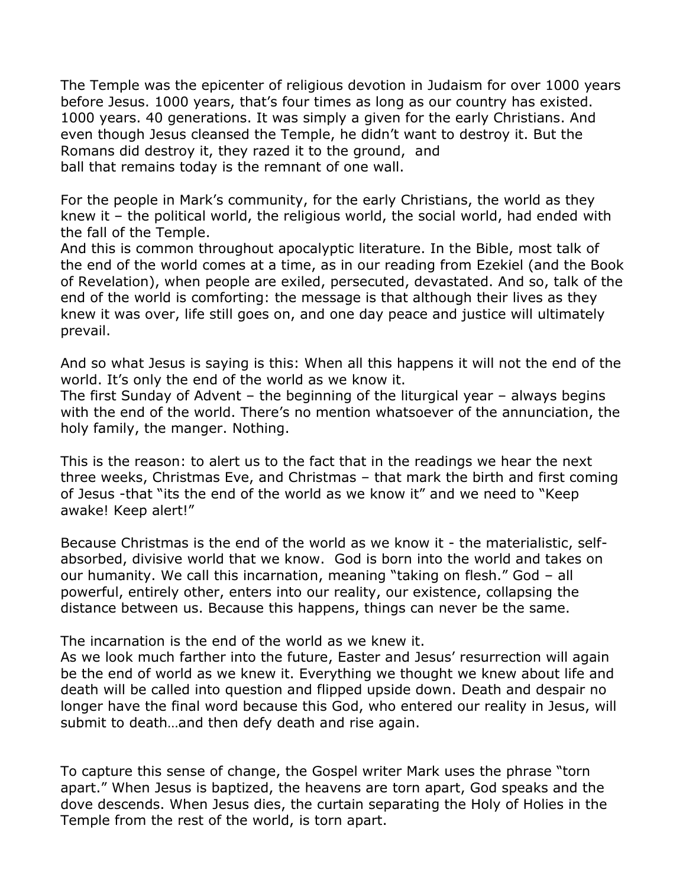The Temple was the epicenter of religious devotion in Judaism for over 1000 years before Jesus. 1000 years, that's four times as long as our country has existed. 1000 years. 40 generations. It was simply a given for the early Christians. And even though Jesus cleansed the Temple, he didn't want to destroy it. But the Romans did destroy it, they razed it to the ground, and ball that remains today is the remnant of one wall.

For the people in Mark's community, for the early Christians, the world as they knew it – the political world, the religious world, the social world, had ended with the fall of the Temple.

And this is common throughout apocalyptic literature. In the Bible, most talk of the end of the world comes at a time, as in our reading from Ezekiel (and the Book of Revelation), when people are exiled, persecuted, devastated. And so, talk of the end of the world is comforting: the message is that although their lives as they knew it was over, life still goes on, and one day peace and justice will ultimately prevail.

And so what Jesus is saying is this: When all this happens it will not the end of the world. It's only the end of the world as we know it.

The first Sunday of Advent – the beginning of the liturgical year – always begins with the end of the world. There's no mention whatsoever of the annunciation, the holy family, the manger. Nothing.

This is the reason: to alert us to the fact that in the readings we hear the next three weeks, Christmas Eve, and Christmas – that mark the birth and first coming of Jesus -that "its the end of the world as we know it" and we need to "Keep awake! Keep alert!"

Because Christmas is the end of the world as we know it - the materialistic, selfabsorbed, divisive world that we know. God is born into the world and takes on our humanity. We call this incarnation, meaning "taking on flesh." God – all powerful, entirely other, enters into our reality, our existence, collapsing the distance between us. Because this happens, things can never be the same.

The incarnation is the end of the world as we knew it.

As we look much farther into the future, Easter and Jesus' resurrection will again be the end of world as we knew it. Everything we thought we knew about life and death will be called into question and flipped upside down. Death and despair no longer have the final word because this God, who entered our reality in Jesus, will submit to death…and then defy death and rise again.

To capture this sense of change, the Gospel writer Mark uses the phrase "torn apart." When Jesus is baptized, the heavens are torn apart, God speaks and the dove descends. When Jesus dies, the curtain separating the Holy of Holies in the Temple from the rest of the world, is torn apart.